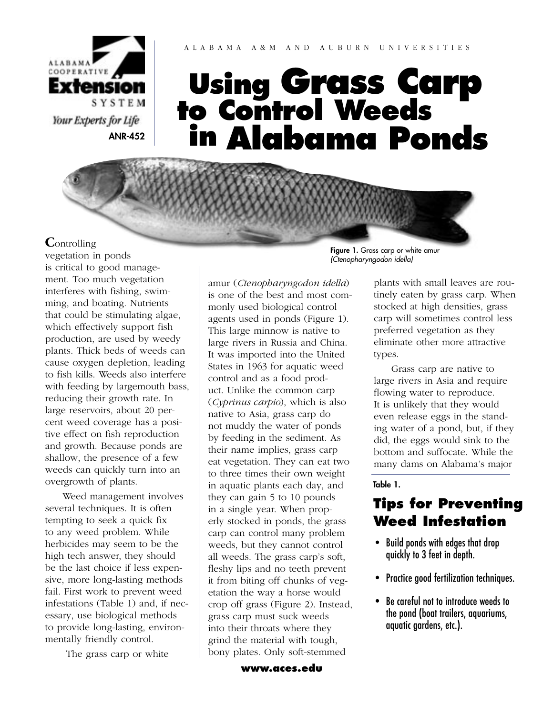

#### A L A B A M A A & M A N D A U B U R N U N I V E R S I T I E S

# **Using Grass Carp to Control Weeds in Alabama Ponds**

#### **C**ontrolling

vegetation in ponds is critical to good management. Too much vegetation interferes with fishing, swimming, and boating. Nutrients that could be stimulating algae, which effectively support fish production, are used by weedy plants. Thick beds of weeds can cause oxygen depletion, leading to fish kills. Weeds also interfere with feeding by largemouth bass, reducing their growth rate. In large reservoirs, about 20 percent weed coverage has a positive effect on fish reproduction and growth. Because ponds are shallow, the presence of a few weeds can quickly turn into an overgrowth of plants.

 Weed management involves several techniques. It is often tempting to seek a quick fix to any weed problem. While herbicides may seem to be the high tech answer, they should be the last choice if less expensive, more long-lasting methods fail. First work to prevent weed infestations (Table 1) and, if necessary, use biological methods to provide long-lasting, environmentally friendly control.

The grass carp or white

amur (*Ctenopharyngodon idella*) is one of the best and most commonly used biological control agents used in ponds (Figure 1). This large minnow is native to large rivers in Russia and China. It was imported into the United States in 1963 for aquatic weed control and as a food product. Unlike the common carp (*Cyprinus carpio*), which is also native to Asia, grass carp do not muddy the water of ponds by feeding in the sediment. As their name implies, grass carp eat vegetation. They can eat two to three times their own weight in aquatic plants each day, and they can gain 5 to 10 pounds in a single year. When properly stocked in ponds, the grass carp can control many problem weeds, but they cannot control all weeds. The grass carp's soft, fleshy lips and no teeth prevent it from biting off chunks of vegetation the way a horse would crop off grass (Figure 2). Instead, grass carp must suck weeds into their throats where they grind the material with tough, bony plates. Only soft-stemmed

Figure 1. Grass carp or white amur (Ctenopharyngodon idella)

> plants with small leaves are routinely eaten by grass carp. When stocked at high densities, grass carp will sometimes control less preferred vegetation as they eliminate other more attractive types.

 Grass carp are native to large rivers in Asia and require flowing water to reproduce. It is unlikely that they would even release eggs in the standing water of a pond, but, if they did, the eggs would sink to the bottom and suffocate. While the many dams on Alabama's major

Table 1.

## **Tips for Preventing Weed Infestation**

- Build ponds with edges that drop quickly to 3 feet in depth.
- Practice good fertilization techniques.
- Be careful not to introduce weeds to the pond (boat trailers, aquariums, aquatic gardens, etc.).

**[www.aces.edu](http://www.aces.edu/)**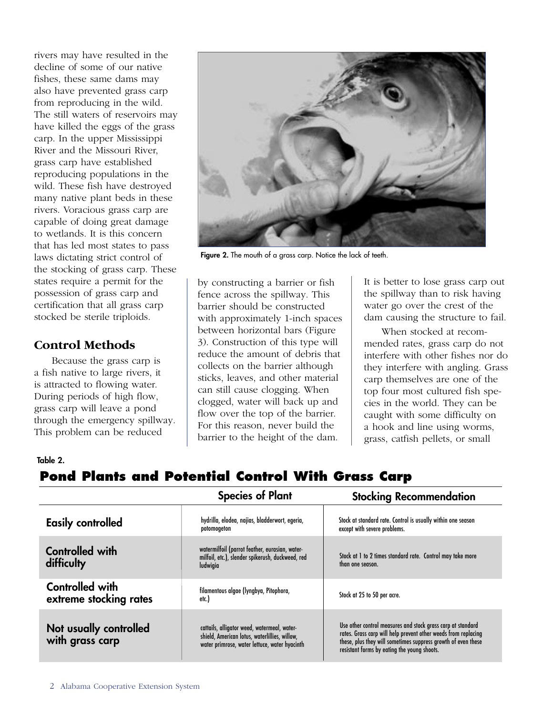rivers may have resulted in the decline of some of our native fishes, these same dams may also have prevented grass carp from reproducing in the wild. The still waters of reservoirs may have killed the eggs of the grass carp. In the upper Mississippi River and the Missouri River, grass carp have established reproducing populations in the wild. These fish have destroyed many native plant beds in these rivers. Voracious grass carp are capable of doing great damage to wetlands. It is this concern that has led most states to pass laws dictating strict control of the stocking of grass carp. These states require a permit for the possession of grass carp and certification that all grass carp stocked be sterile triploids.

### **Control Methods**

 Because the grass carp is a fish native to large rivers, it is attracted to flowing water. During periods of high flow, grass carp will leave a pond through the emergency spillway. This problem can be reduced



Figure 2. The mouth of a grass carp. Notice the lack of teeth.

by constructing a barrier or fish fence across the spillway. This barrier should be constructed with approximately 1-inch spaces between horizontal bars (Figure 3). Construction of this type will reduce the amount of debris that collects on the barrier although sticks, leaves, and other material can still cause clogging. When clogged, water will back up and flow over the top of the barrier. For this reason, never build the barrier to the height of the dam.

It is better to lose grass carp out the spillway than to risk having water go over the crest of the dam causing the structure to fail.

 When stocked at recommended rates, grass carp do not interfere with other fishes nor do they interfere with angling. Grass carp themselves are one of the top four most cultured fish species in the world. They can be caught with some difficulty on a hook and line using worms, grass, catfish pellets, or small

#### Table 2.

## **Pond Plants and Potential Control With Grass Carp**

|                                           | <b>Species of Plant</b>                                                                                                                       | <b>Stocking Recommendation</b>                                                                                                                                                                                                                |  |
|-------------------------------------------|-----------------------------------------------------------------------------------------------------------------------------------------------|-----------------------------------------------------------------------------------------------------------------------------------------------------------------------------------------------------------------------------------------------|--|
| <b>Easily controlled</b>                  | hydrilla, elodea, najias, bladderwort, egeria,<br>potomogeton                                                                                 | Stock at standard rate. Control is usually within one season<br>except with severe problems.                                                                                                                                                  |  |
| <b>Controlled with</b><br>difficulty      | watermilfoil (parrot feather, eurasian, water-<br>milfoil, etc.), slender spikerush, duckweed, red<br>ludwigia                                | Stock at 1 to 2 times standard rate. Control may take more<br>than one season.                                                                                                                                                                |  |
| Controlled with<br>extreme stocking rates | filamentous algae (lyngbya, Pitophora,<br>etc.)                                                                                               | Stock at 25 to 50 per acre.                                                                                                                                                                                                                   |  |
| Not usually controlled<br>with grass carp | cattails, alligator weed, watermeal, water-<br>shield, American lotus, waterlillies, willow,<br>water primrose, water lettuce, water hyacinth | Use other control measures and stock grass carp at standard<br>rates. Grass carp will help prevent other weeds from replacing<br>these, plus they will sometimes suppress growth of even these<br>resistant forms by eating the young shoots. |  |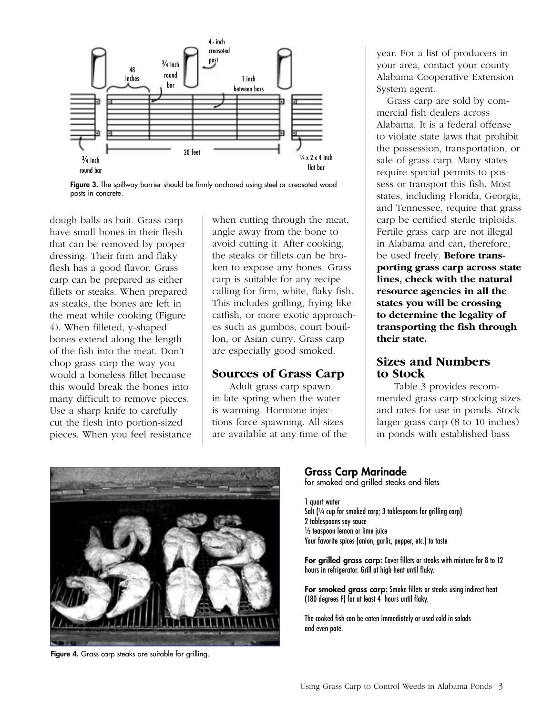

Figure 3. The spillway barrier should be firmly anchored using steel or creosoted wood posts in concrete.

dough balls as bait. Grass carp have small bones in their flesh that can be removed by proper dressing. Their firm and flaky flesh has a good flavor. Grass carp can be prepared as either fillets or steaks. When prepared as steaks, the bones are left in the meat while cooking (Figure 4). When filleted, y-shaped bones extend along the length of the fish into the meat. Don't chop grass carp the way you would a boneless fillet because this would break the bones into many difficult to remove pieces. Use a sharp knife to carefully cut the flesh into portion-sized pieces. When you feel resistance when cutting through the meat, angle away from the bone to avoid cutting it. After cooking, the steaks or fillets can be broken to expose any bones. Grass carp is suitable for any recipe calling for firm, white, flaky fish. This includes grilling, frying like catfish, or more exotic approaches such as gumbos, court bouillon, or Asian curry. Grass carp are especially good smoked.

#### **Sources of Grass Carp**

 Adult grass carp spawn in late spring when the water is warming. Hormone injections force spawning. All sizes are available at any time of the year. For a list of producers in your area, contact your county Alabama Cooperative Extension System agent.

 Grass carp are sold by commercial fish dealers across Alabama. It is a federal offense to violate state laws that prohibit the possession, transportation, or sale of grass carp. Many states require special permits to possess or transport this fish. Most states, including Florida, Georgia, and Tennessee, require that grass carp be certified sterile triploids. Fertile grass carp are not illegal in Alabama and can, therefore, be used freely. **Before transporting grass carp across state lines, check with the natural resource agencies in all the states you will be crossing to determine the legality of transporting the fish through their state.**

#### **Sizes and Numbers to Stock**

 Table 3 provides recommended grass carp stocking sizes and rates for use in ponds. Stock larger grass carp (8 to 10 inches) in ponds with established bass



Figure 4. Grass carp steaks are suitable for grilling.

#### Grass Carp Marinade

for smoked and grilled steaks and filets

1 quart water Salt (1/4 cup for smoked carp; 3 tablespoons for grilling carp) 2 tablespoons soy sauce ½ teaspoon lemon or lime juice Your favorite spices (onion, garlic, pepper, etc.) to taste

For grilled grass carp: Cover fillets or steaks with mixture for 8 to 12 hours in refrigerator. Grill at high heat until flaky.

For smoked grass carp: Smoke fillets or steaks using indirect heat (180 degrees F) for at least 4 hours until flaky.

The cooked fish can be eaten immediately or used cold in salads and even paté.